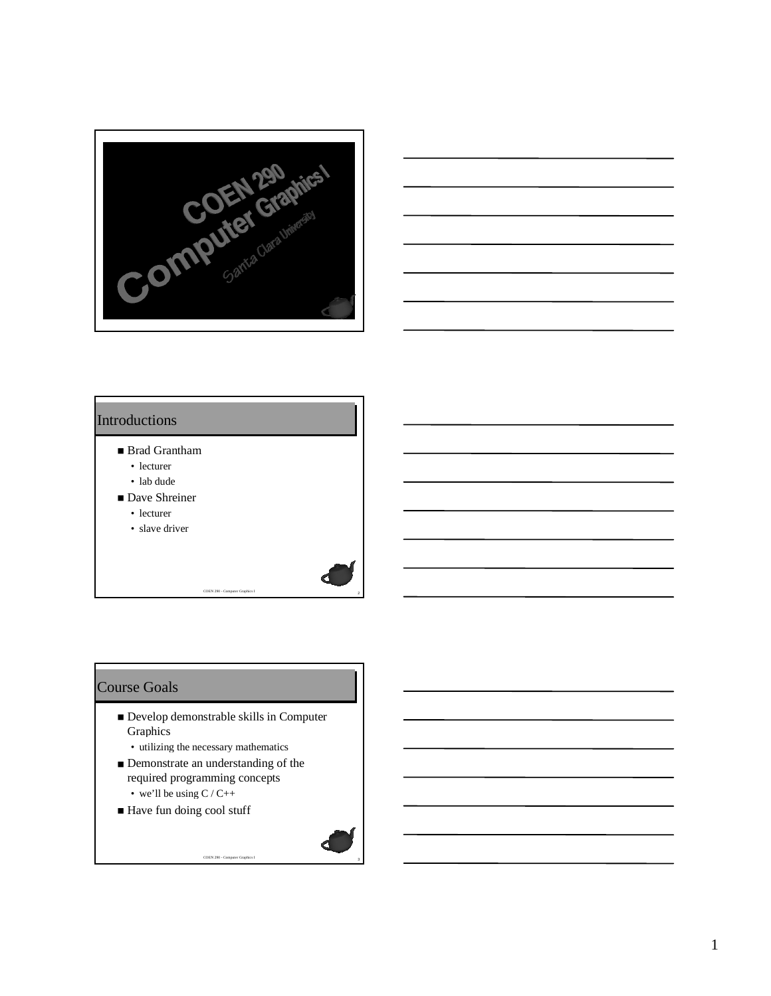



#### Introductions

- Brad Grantham
	- lecturer
	- lab dude
- Dave Shreiner
	- lecturer
	- slave driver

#### Course Goals

■ Develop demonstrable skills in Computer Graphics

<sup>3</sup> COEN 290 - Computer Graphics I

- utilizing the necessary mathematics
- Demonstrate an understanding of the required programming concepts • we'll be using  $C / C_{++}$
- Have fun doing cool stuff

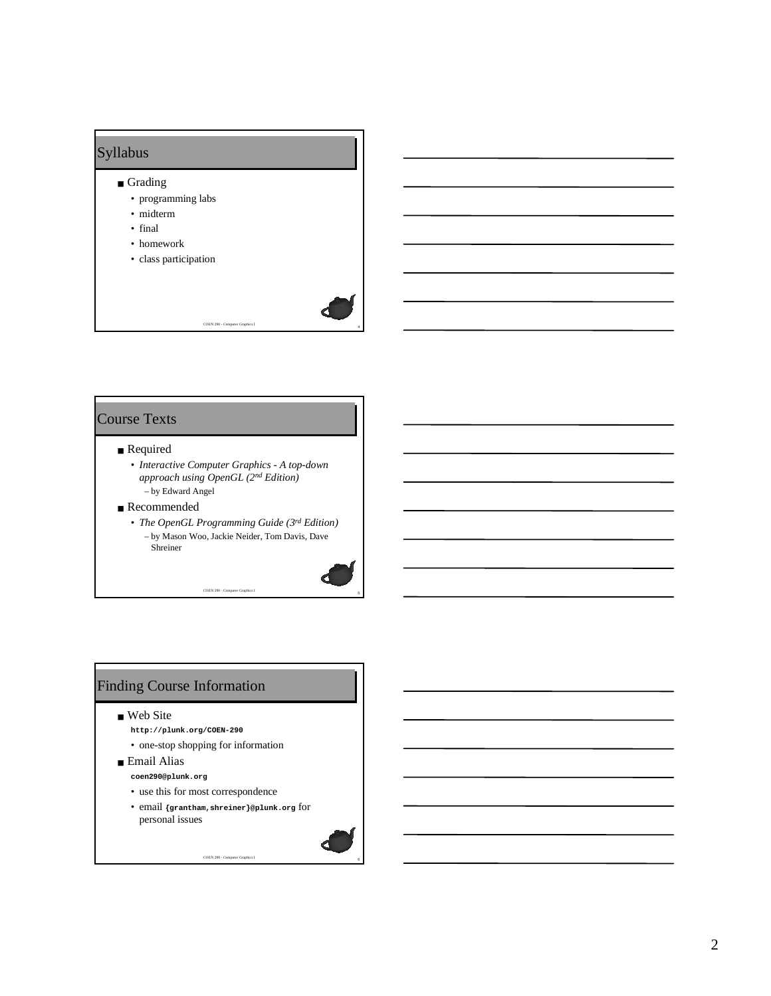

### Course Texts

# ■ Required

- *Interactive Computer Graphics A top-down approach using OpenGL (2nd Edition)* – by Edward Angel
- Recommended
	- *The OpenGL Programming Guide (3rd Edition)* – by Mason Woo, Jackie Neider, Tom Davis, Dave Shreiner

<sup>5</sup> COEN 290 - Computer Graphics I

### Finding Course Information

- Web Site
	- **http://plunk.org/COEN-290**
	- one-stop shopping for information
- Email Alias **coen290@plunk.org**
	- use this for most correspondence

personal issues

• email **{grantham,shreiner}@plunk.org** for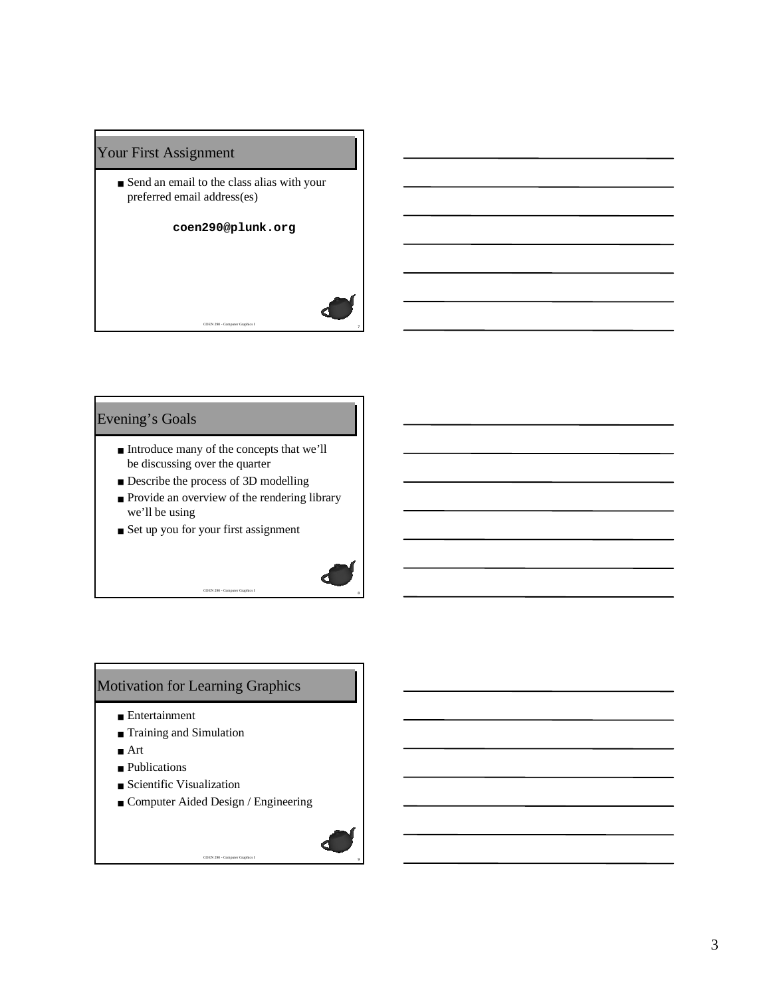# Your First Assignment

■ Send an email to the class alias with your preferred email address(es)

#### **coen290@plunk.org**

<sup>7</sup> COEN 290 - Computer Graphics I

#### Evening's Goals

- Introduce many of the concepts that we'll be discussing over the quarter
- Describe the process of 3D modelling
- Provide an overview of the rendering library we'll be using

<sup>8</sup> COEN 290 - Computer Graphics I

■ Set up you for your first assignment

#### Motivation for Learning Graphics

- Entertainment
- Training and Simulation
- Art
- Publications
- Scientific Visualization
- Computer Aided Design / Engineering

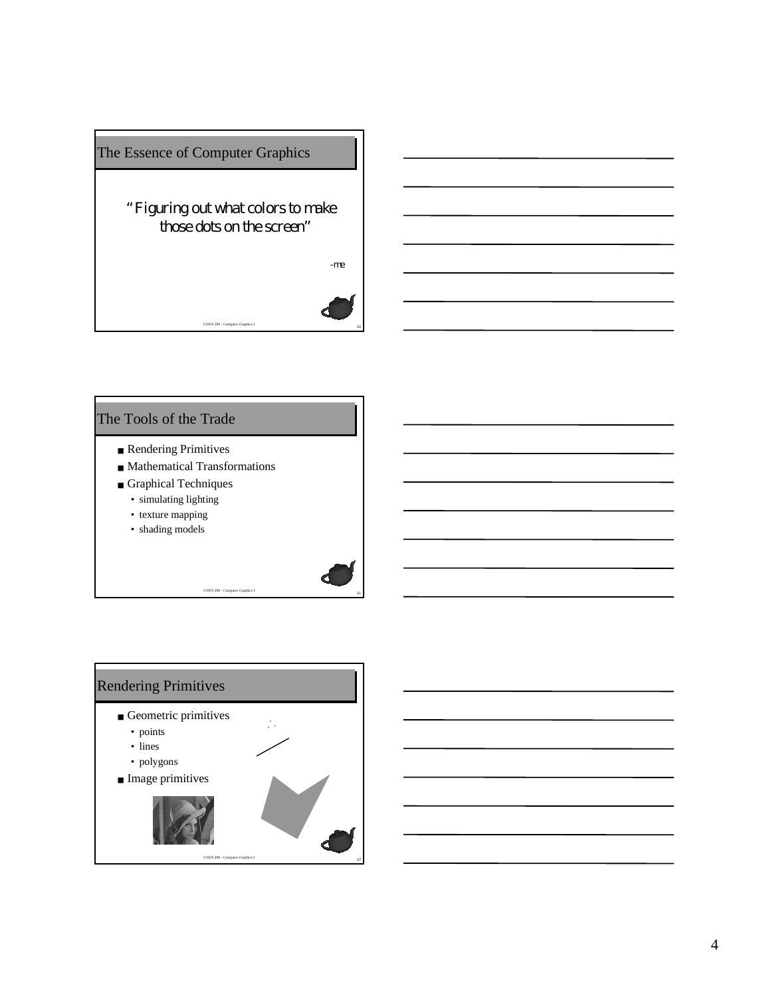

#### The Tools of the Trade

- Rendering Primitives
- Mathematical Transformations
- Graphical Techniques
	- simulating lighting
	- texture mapping
	- shading models

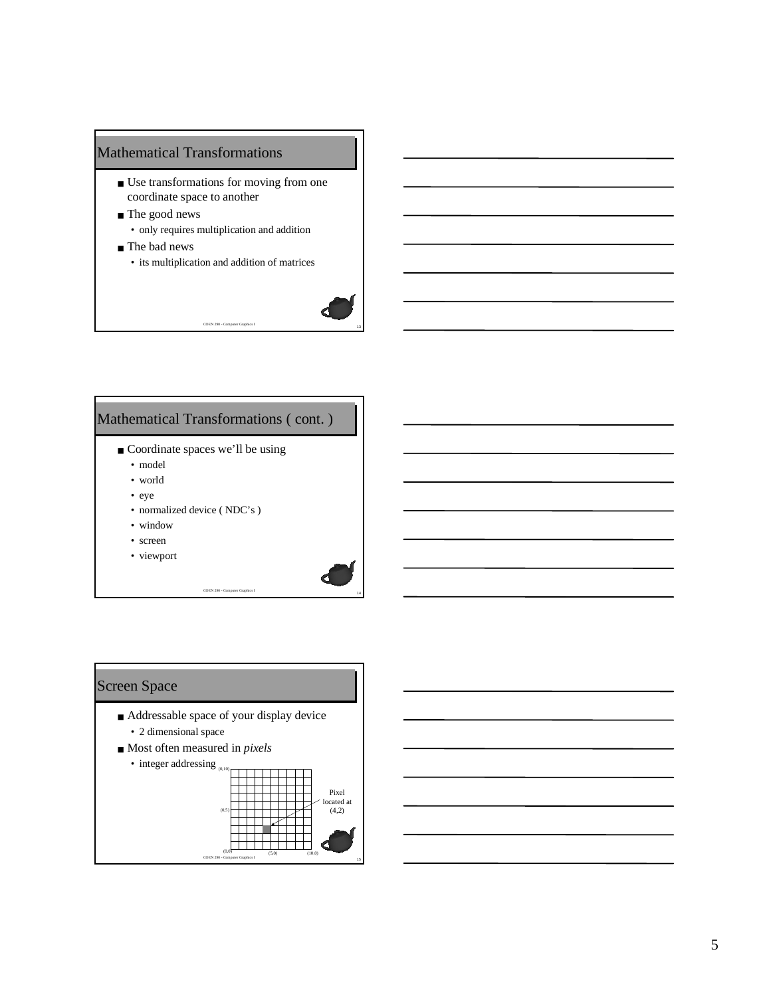# Mathematical Transformations

- Use transformations for moving from one coordinate space to another
- The good news • only requires multiplication and addition
- The bad news
	- its multiplication and addition of matrices

<sup>13</sup> COEN 290 - Computer Graphics I



# Mathematical Transformations ( cont. )

- Coordinate spaces we'll be using
	- model
	- world
	- eye
	- normalized device ( NDC's )
	- window
	- screen
	- viewport

#### Screen Space

■ Addressable space of your display device

- 2 dimensional space
- Most often measured in *pixels*

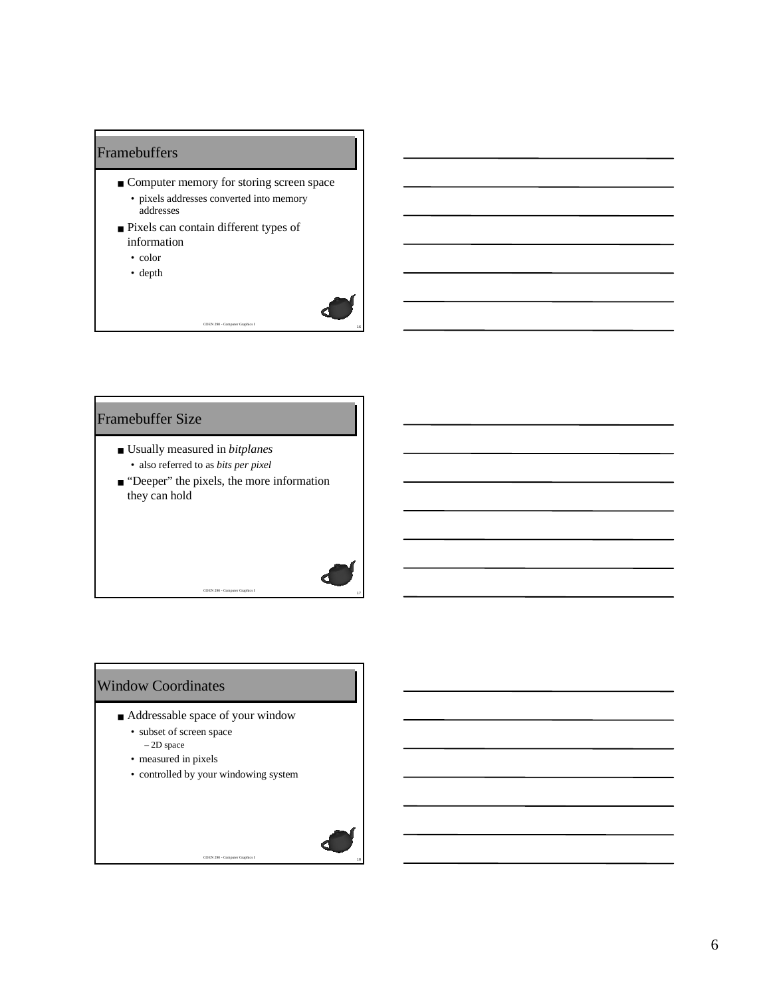### Framebuffers

■ Computer memory for storing screen space • pixels addresses converted into memory addresses

<sup>16</sup> COEN 290 - Computer Graphics I

- Pixels can contain different types of information
	- color
	- depth



- Usually measured in *bitplanes* • also referred to as *bits per pixel*
- "Deeper" the pixels, the more information they can hold

 $C$ OEN 290 -  $C$ om

### Window Coordinates

- Addressable space of your window
	- subset of screen space – 2D space
	- measured in pixels
	- controlled by your windowing system

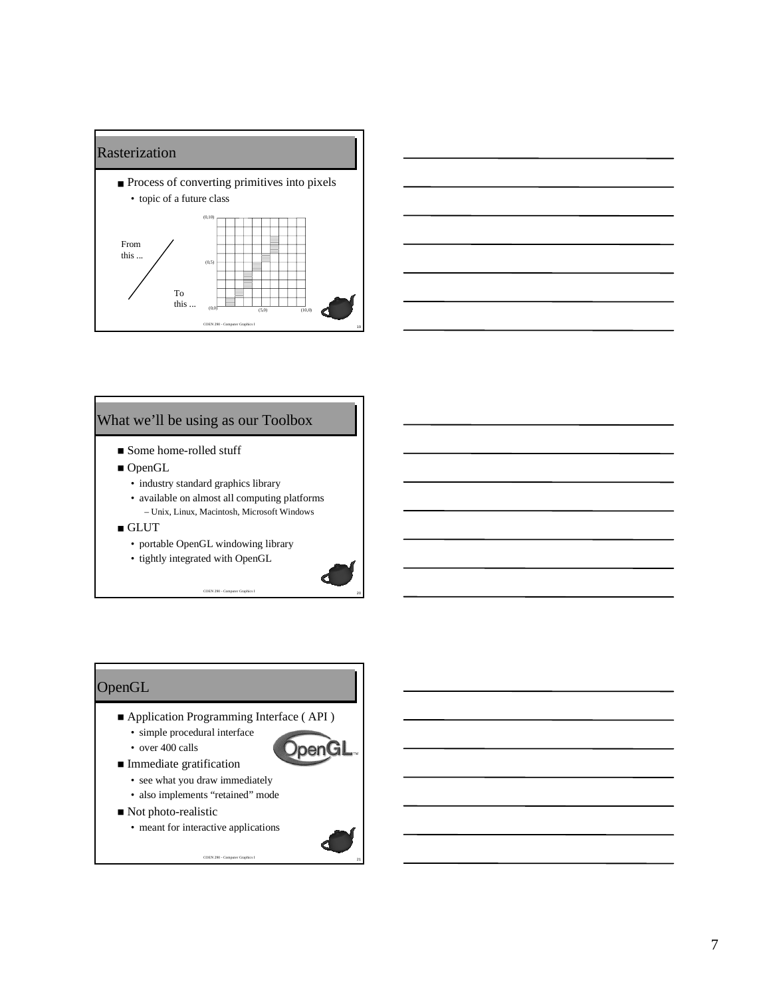



#### What we'll be using as our Toolbox

- Some home-rolled stuff
- OpenGL
	- industry standard graphics library
	- available on almost all computing platforms – Unix, Linux, Macintosh, Microsoft Windows
- GLUT
	- portable OpenGL windowing library
	- tightly integrated with OpenGL



#### **OpenGL**

- Application Programming Interface (API)
	- simple procedural interface
- over 400 calls ■ Immediate gratification



- see what you draw immediately
- also implements "retained" mode
- Not photo-realistic

• meant for interactive applications

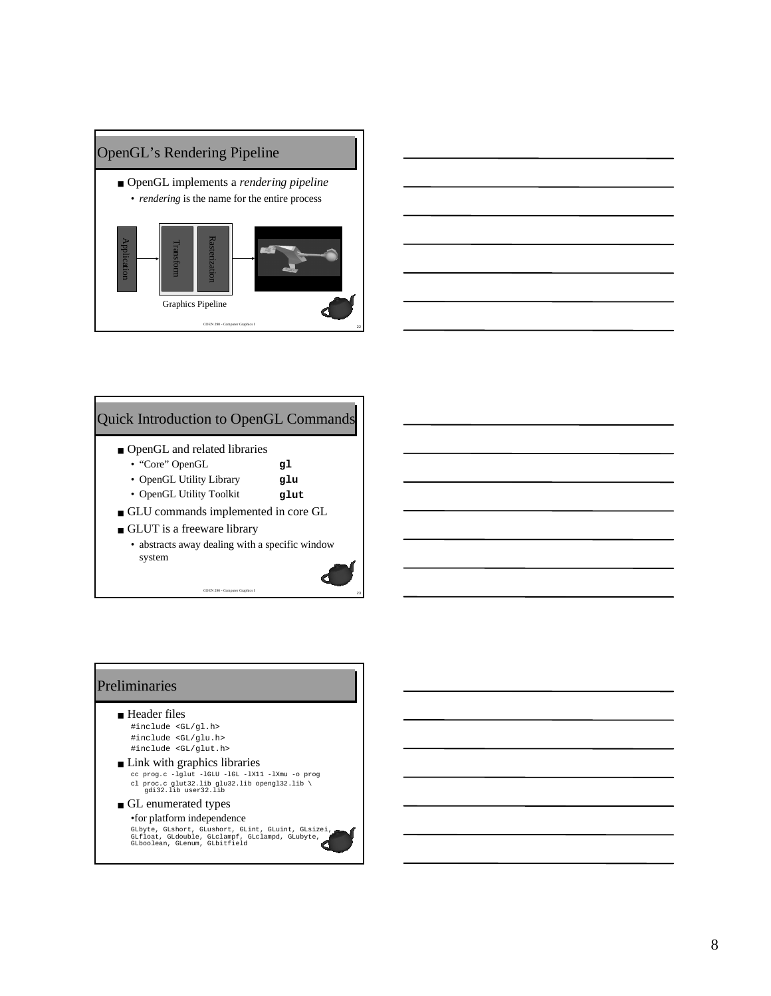



# Quick Introduction to OpenGL Commands

- OpenGL and related libraries
	- "Core" OpenGL **gl**
	- OpenGL Utility Library **glu**
	- OpenGL Utility Toolkit **glut**
- GLU commands implemented in core GL
- GLUT is a freeware library
	- abstracts away dealing with a specific window system

<sup>23</sup> COEN 290 - Computer Graphics I

#### Preliminaries

- Header files #include <GL/gl.h> #include <GL/glu.h> #include <GL/glut.h>
- Link with graphics libraries cc prog.c -lglut -lGLU -lGL -lX11 -lXmu -o prog cl proc.c glut32.lib glu32.lib opengl32.lib \ gdi32.lib user32.lib
- GL enumerated types •for platform independence

GLbyte, GLshort, GLushort, GLint, GLuint, GLsizei, GLfloat, GLdouble, GLclampf, GLclampd, GLubyte, GLboolean, GLenum, GLbitfield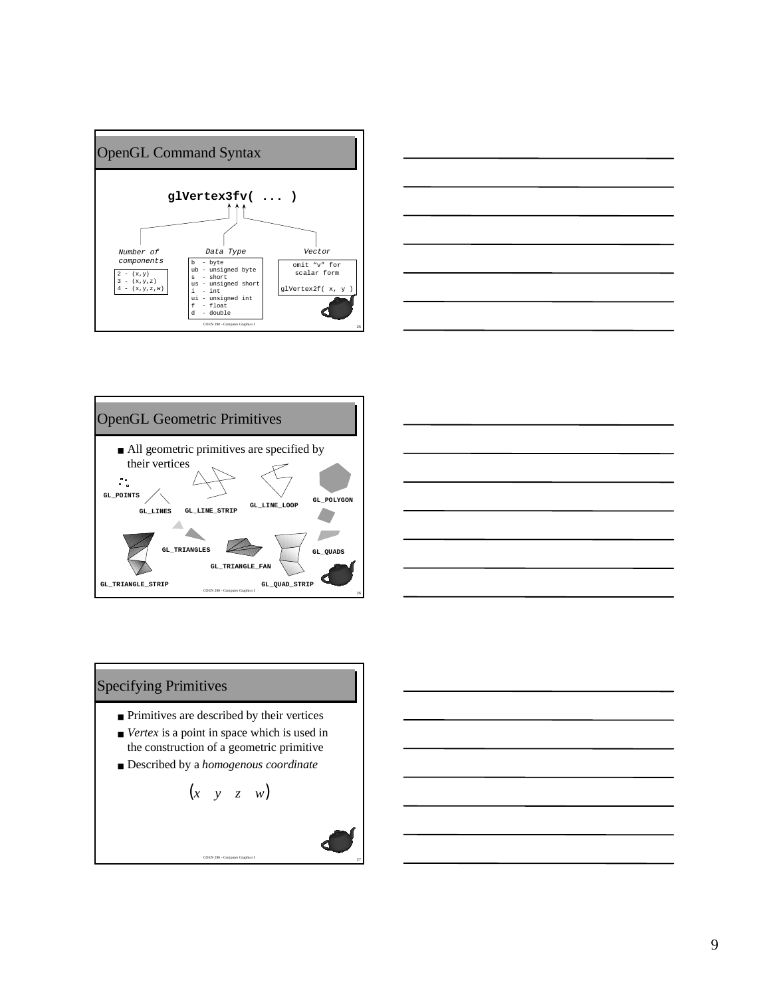







#### Specifying Primitives

- Primitives are described by their vertices
- *Vertex* is a point in space which is used in the construction of a geometric primitive
- Described by a *homogenous coordinate*

$$
\begin{pmatrix} x & y & z & w \end{pmatrix}
$$

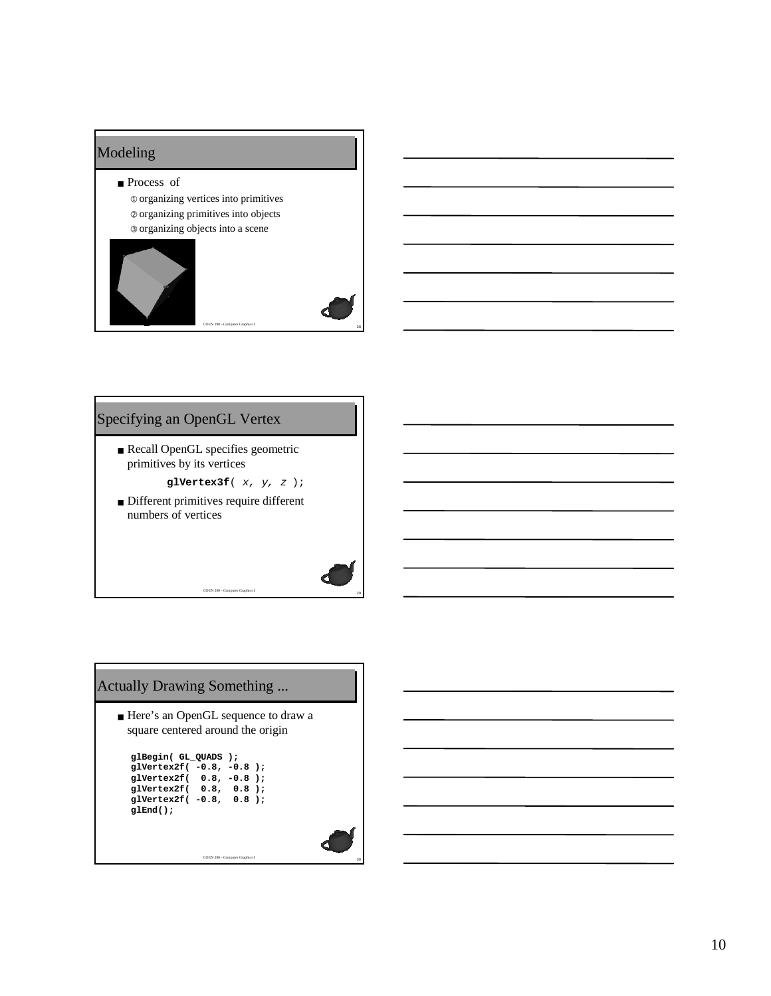#### Modeling

- Process of
	- ➀ organizing vertices into primitives ➁ organizing primitives into objects ➂ organizing objects into a scene





#### Specifying an OpenGL Vertex

- Recall OpenGL specifies geometric primitives by its vertices
	- **glVertex3f**( x, y, z );
- Different primitives require different numbers of vertices

 $C$ OEN 290 -  $C$ om

# Actually Drawing Something ...

■ Here's an OpenGL sequence to draw a square centered around the origin

| glBegin( GL QUADS );           |                |  |
|--------------------------------|----------------|--|
| $q1$ Vertex2f $(-0.8, -0.8)$ ; |                |  |
| <b>alVertex2f(</b>             | $0.8, -0.8$ ): |  |
| $q1$ Vertex2f( $0.8, 0.8$ );   |                |  |
| alVertex2f( -0.8, 0.8 );       |                |  |
| alEnd();                       |                |  |
|                                |                |  |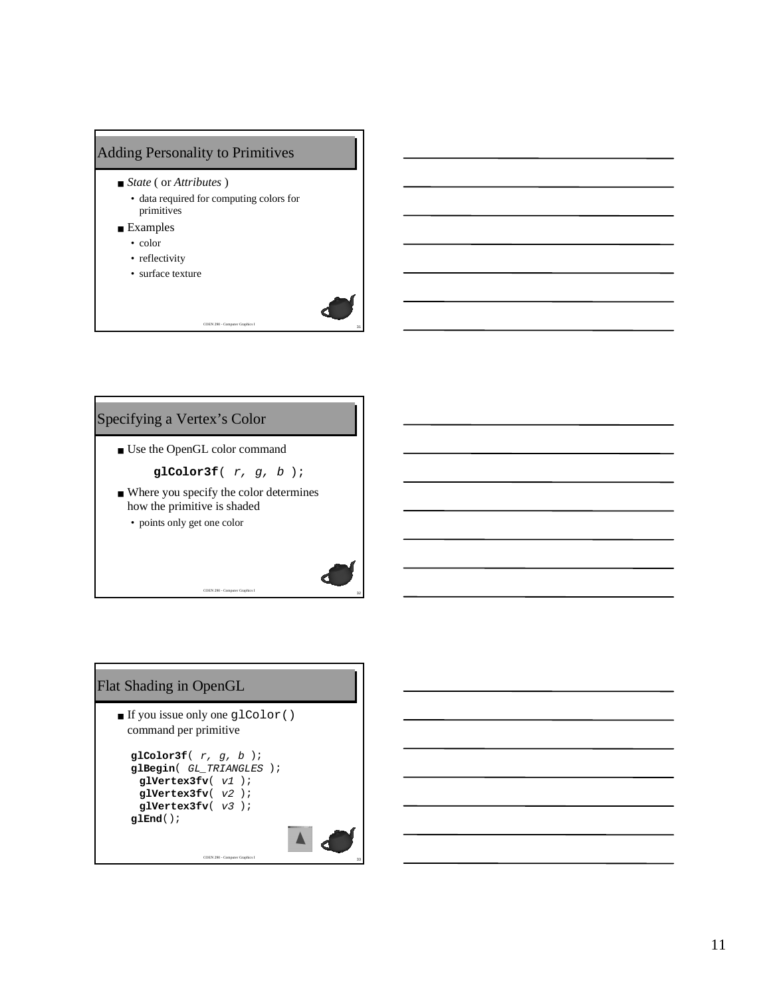# Adding Personality to Primitives

- *State* ( or *Attributes* )
	- data required for computing colors for primitives
- Examples
	- color
	- reflectivity
	- surface texture



■ Use the OpenGL color command

**glColor3f**( r, g, b );

<sup>31</sup> COEN 290 - Computer Graphics I

■ Where you specify the color determines how the primitive is shaded

 $C$ OEN 290 -  $C$ om

• points only get one color

# Flat Shading in OpenGL

■ If you issue only one glColor() command per primitive

```
glColor3f( r, g, b );
glBegin( GL_TRIANGLES );
 glVertex3fv( v1 );
 glVertex3fv( v2 );
 glVertex3fv( v3 );
glEnd();
```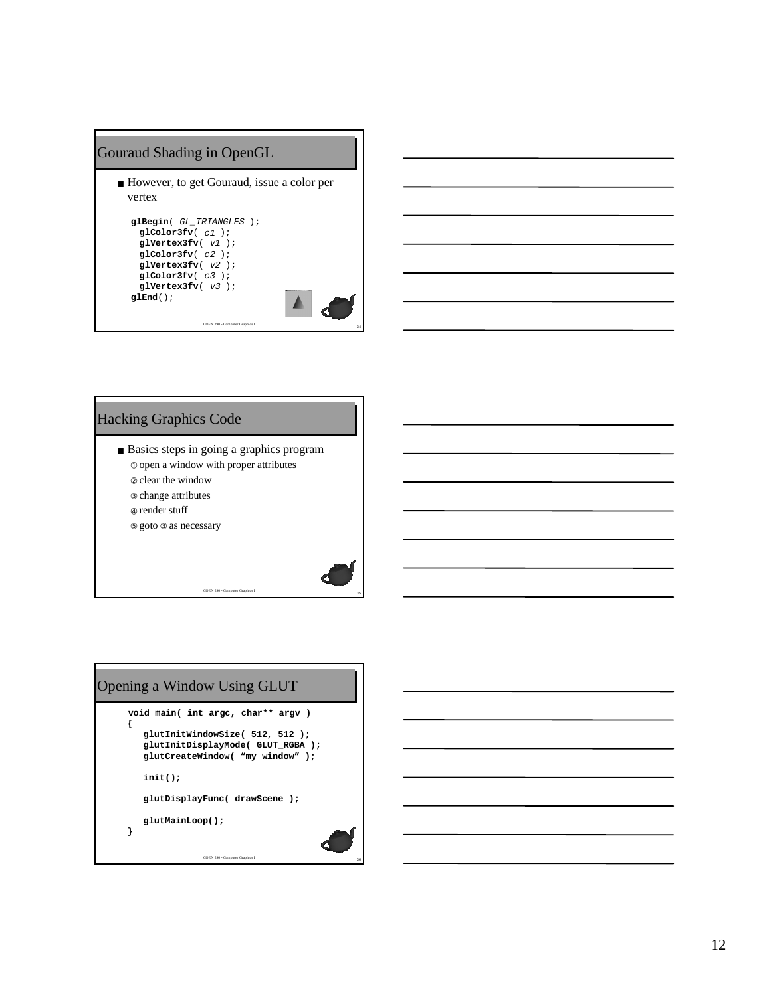#### Gouraud Shading in OpenGL

■ However, to get Gouraud, issue a color per vertex **glBegin**( GL\_TRIANGLES ); **glColor3fv**( c1 ); **glVertex3fv**( v1 ); **glColor3fv**( c2 ); **glVertex3fv**( v2 ); **glColor3fv**( c3 ); glVertex3fv(  $v3$ ); **glEnd**();

<sup>34</sup> COEN 290 - Computer Graphics I



#### Hacking Graphics Code

- Basics steps in going a graphics program
	- ➀ open a window with proper attributes

 $\overline{\text{COEN 290}}$  - Com

- ➁ clear the window ➂ change attributes
- ➃ render stuff
- ➄ goto ➂ as necessary



12